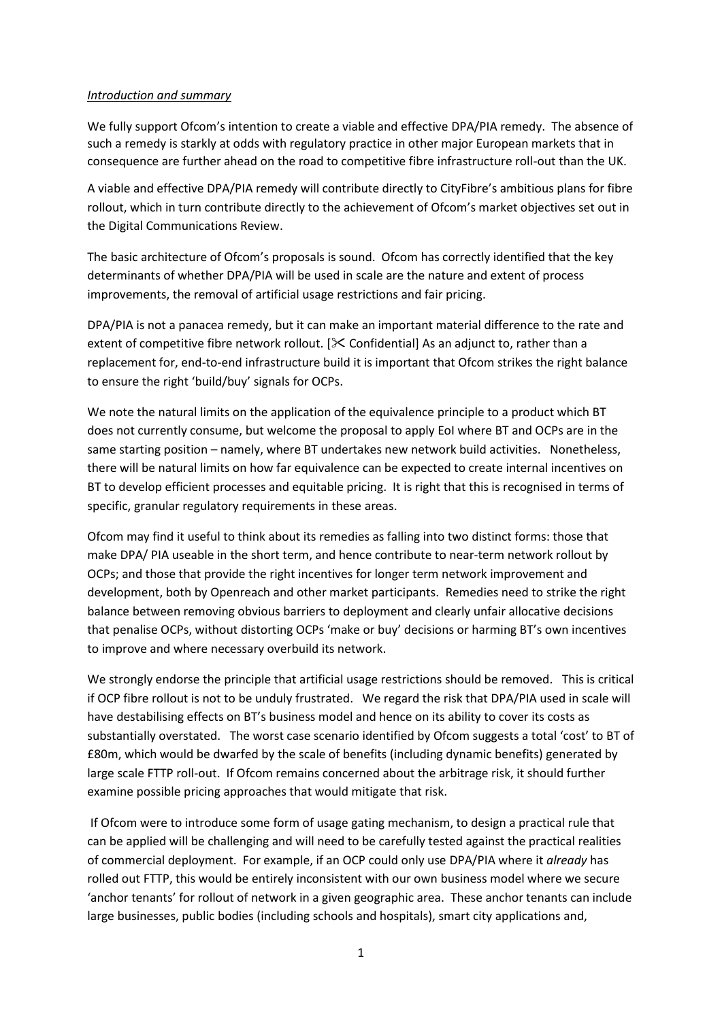#### *Introduction and summary*

We fully support Ofcom's intention to create a viable and effective DPA/PIA remedy. The absence of such a remedy is starkly at odds with regulatory practice in other major European markets that in consequence are further ahead on the road to competitive fibre infrastructure roll-out than the UK.

A viable and effective DPA/PIA remedy will contribute directly to CityFibre's ambitious plans for fibre rollout, which in turn contribute directly to the achievement of Ofcom's market objectives set out in the Digital Communications Review.

The basic architecture of Ofcom's proposals is sound. Ofcom has correctly identified that the key determinants of whether DPA/PIA will be used in scale are the nature and extent of process improvements, the removal of artificial usage restrictions and fair pricing.

DPA/PIA is not a panacea remedy, but it can make an important material difference to the rate and extent of competitive fibre network rollout.  $[\times]$  Confidential] As an adjunct to, rather than a replacement for, end-to-end infrastructure build it is important that Ofcom strikes the right balance to ensure the right 'build/buy' signals for OCPs.

We note the natural limits on the application of the equivalence principle to a product which BT does not currently consume, but welcome the proposal to apply EoI where BT and OCPs are in the same starting position – namely, where BT undertakes new network build activities. Nonetheless, there will be natural limits on how far equivalence can be expected to create internal incentives on BT to develop efficient processes and equitable pricing. It is right that this is recognised in terms of specific, granular regulatory requirements in these areas.

Ofcom may find it useful to think about its remedies as falling into two distinct forms: those that make DPA/ PIA useable in the short term, and hence contribute to near-term network rollout by OCPs; and those that provide the right incentives for longer term network improvement and development, both by Openreach and other market participants. Remedies need to strike the right balance between removing obvious barriers to deployment and clearly unfair allocative decisions that penalise OCPs, without distorting OCPs 'make or buy' decisions or harming BT's own incentives to improve and where necessary overbuild its network.

We strongly endorse the principle that artificial usage restrictions should be removed. This is critical if OCP fibre rollout is not to be unduly frustrated. We regard the risk that DPA/PIA used in scale will have destabilising effects on BT's business model and hence on its ability to cover its costs as substantially overstated. The worst case scenario identified by Ofcom suggests a total 'cost' to BT of £80m, which would be dwarfed by the scale of benefits (including dynamic benefits) generated by large scale FTTP roll-out. If Ofcom remains concerned about the arbitrage risk, it should further examine possible pricing approaches that would mitigate that risk.

If Ofcom were to introduce some form of usage gating mechanism, to design a practical rule that can be applied will be challenging and will need to be carefully tested against the practical realities of commercial deployment. For example, if an OCP could only use DPA/PIA where it *already* has rolled out FTTP, this would be entirely inconsistent with our own business model where we secure 'anchor tenants' for rollout of network in a given geographic area. These anchor tenants can include large businesses, public bodies (including schools and hospitals), smart city applications and,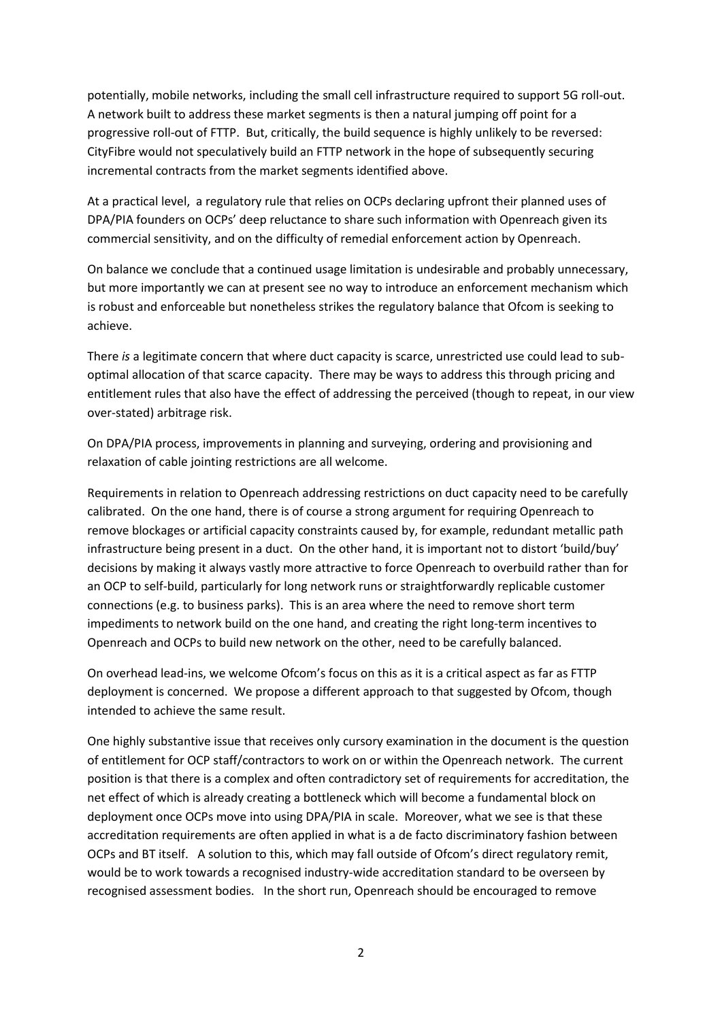potentially, mobile networks, including the small cell infrastructure required to support 5G roll-out. A network built to address these market segments is then a natural jumping off point for a progressive roll-out of FTTP. But, critically, the build sequence is highly unlikely to be reversed: CityFibre would not speculatively build an FTTP network in the hope of subsequently securing incremental contracts from the market segments identified above.

At a practical level, a regulatory rule that relies on OCPs declaring upfront their planned uses of DPA/PIA founders on OCPs' deep reluctance to share such information with Openreach given its commercial sensitivity, and on the difficulty of remedial enforcement action by Openreach.

On balance we conclude that a continued usage limitation is undesirable and probably unnecessary, but more importantly we can at present see no way to introduce an enforcement mechanism which is robust and enforceable but nonetheless strikes the regulatory balance that Ofcom is seeking to achieve.

There *is* a legitimate concern that where duct capacity is scarce, unrestricted use could lead to suboptimal allocation of that scarce capacity. There may be ways to address this through pricing and entitlement rules that also have the effect of addressing the perceived (though to repeat, in our view over-stated) arbitrage risk.

On DPA/PIA process, improvements in planning and surveying, ordering and provisioning and relaxation of cable jointing restrictions are all welcome.

Requirements in relation to Openreach addressing restrictions on duct capacity need to be carefully calibrated. On the one hand, there is of course a strong argument for requiring Openreach to remove blockages or artificial capacity constraints caused by, for example, redundant metallic path infrastructure being present in a duct. On the other hand, it is important not to distort 'build/buy' decisions by making it always vastly more attractive to force Openreach to overbuild rather than for an OCP to self-build, particularly for long network runs or straightforwardly replicable customer connections (e.g. to business parks). This is an area where the need to remove short term impediments to network build on the one hand, and creating the right long-term incentives to Openreach and OCPs to build new network on the other, need to be carefully balanced.

On overhead lead-ins, we welcome Ofcom's focus on this as it is a critical aspect as far as FTTP deployment is concerned. We propose a different approach to that suggested by Ofcom, though intended to achieve the same result.

One highly substantive issue that receives only cursory examination in the document is the question of entitlement for OCP staff/contractors to work on or within the Openreach network. The current position is that there is a complex and often contradictory set of requirements for accreditation, the net effect of which is already creating a bottleneck which will become a fundamental block on deployment once OCPs move into using DPA/PIA in scale. Moreover, what we see is that these accreditation requirements are often applied in what is a de facto discriminatory fashion between OCPs and BT itself. A solution to this, which may fall outside of Ofcom's direct regulatory remit, would be to work towards a recognised industry-wide accreditation standard to be overseen by recognised assessment bodies. In the short run, Openreach should be encouraged to remove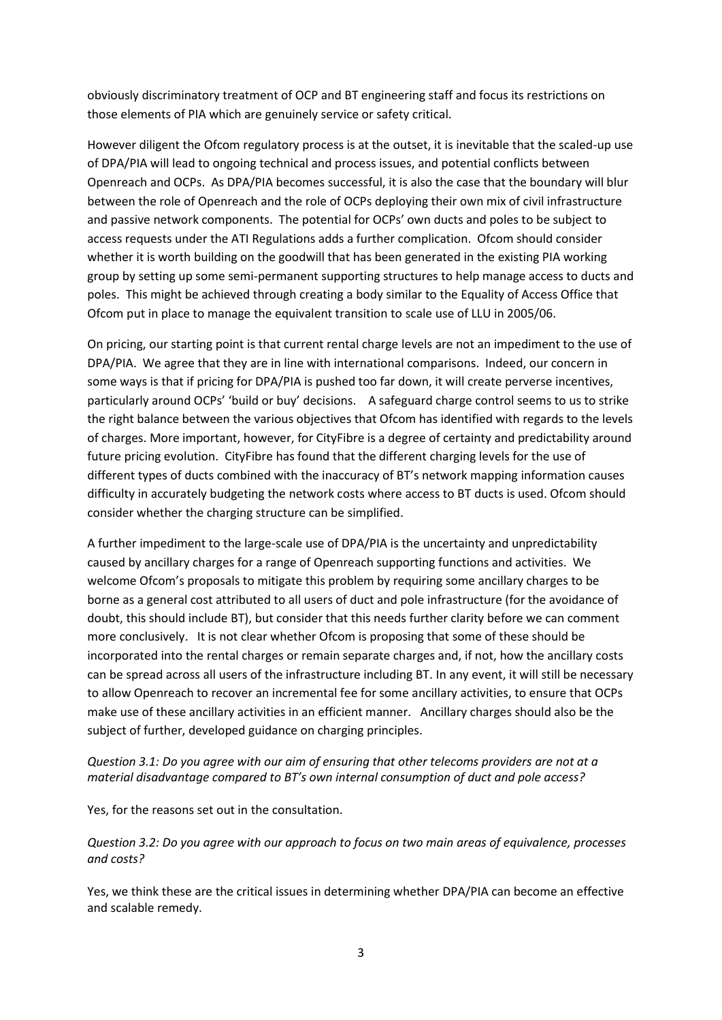obviously discriminatory treatment of OCP and BT engineering staff and focus its restrictions on those elements of PIA which are genuinely service or safety critical.

However diligent the Ofcom regulatory process is at the outset, it is inevitable that the scaled-up use of DPA/PIA will lead to ongoing technical and process issues, and potential conflicts between Openreach and OCPs. As DPA/PIA becomes successful, it is also the case that the boundary will blur between the role of Openreach and the role of OCPs deploying their own mix of civil infrastructure and passive network components. The potential for OCPs' own ducts and poles to be subject to access requests under the ATI Regulations adds a further complication. Ofcom should consider whether it is worth building on the goodwill that has been generated in the existing PIA working group by setting up some semi-permanent supporting structures to help manage access to ducts and poles. This might be achieved through creating a body similar to the Equality of Access Office that Ofcom put in place to manage the equivalent transition to scale use of LLU in 2005/06.

On pricing, our starting point is that current rental charge levels are not an impediment to the use of DPA/PIA. We agree that they are in line with international comparisons. Indeed, our concern in some ways is that if pricing for DPA/PIA is pushed too far down, it will create perverse incentives, particularly around OCPs' 'build or buy' decisions. A safeguard charge control seems to us to strike the right balance between the various objectives that Ofcom has identified with regards to the levels of charges. More important, however, for CityFibre is a degree of certainty and predictability around future pricing evolution. CityFibre has found that the different charging levels for the use of different types of ducts combined with the inaccuracy of BT's network mapping information causes difficulty in accurately budgeting the network costs where access to BT ducts is used. Ofcom should consider whether the charging structure can be simplified.

A further impediment to the large-scale use of DPA/PIA is the uncertainty and unpredictability caused by ancillary charges for a range of Openreach supporting functions and activities. We welcome Ofcom's proposals to mitigate this problem by requiring some ancillary charges to be borne as a general cost attributed to all users of duct and pole infrastructure (for the avoidance of doubt, this should include BT), but consider that this needs further clarity before we can comment more conclusively. It is not clear whether Ofcom is proposing that some of these should be incorporated into the rental charges or remain separate charges and, if not, how the ancillary costs can be spread across all users of the infrastructure including BT. In any event, it will still be necessary to allow Openreach to recover an incremental fee for some ancillary activities, to ensure that OCPs make use of these ancillary activities in an efficient manner. Ancillary charges should also be the subject of further, developed guidance on charging principles.

# *Question 3.1: Do you agree with our aim of ensuring that other telecoms providers are not at a material disadvantage compared to BT's own internal consumption of duct and pole access?*

Yes, for the reasons set out in the consultation.

*Question 3.2: Do you agree with our approach to focus on two main areas of equivalence, processes and costs?*

Yes, we think these are the critical issues in determining whether DPA/PIA can become an effective and scalable remedy.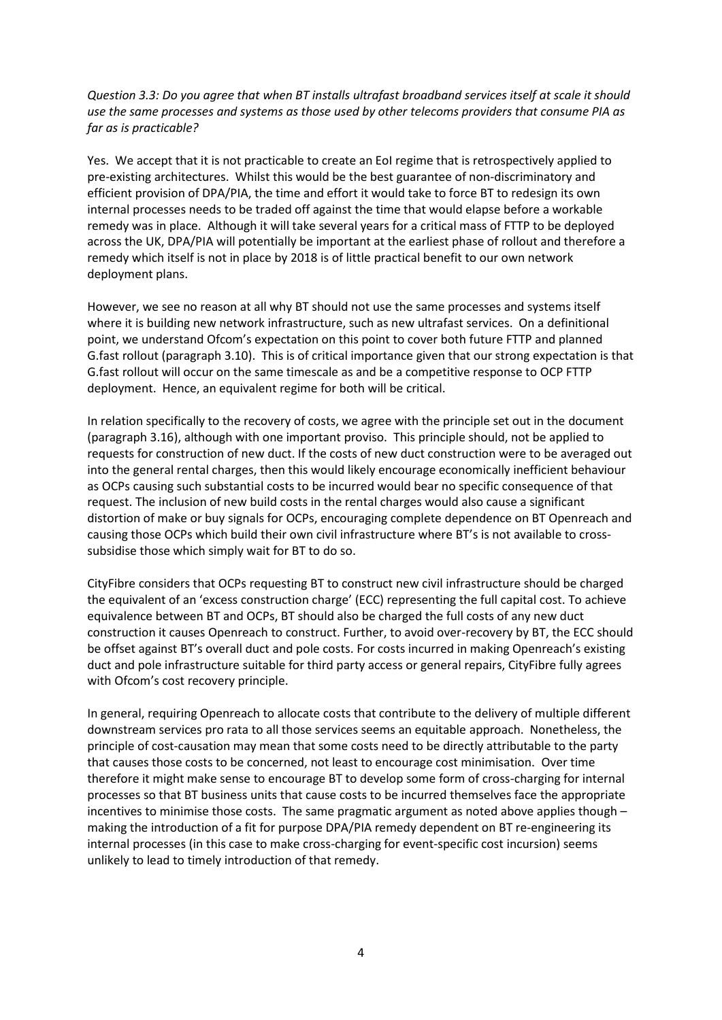*Question 3.3: Do you agree that when BT installs ultrafast broadband services itself at scale it should use the same processes and systems as those used by other telecoms providers that consume PIA as far as is practicable?*

Yes. We accept that it is not practicable to create an EoI regime that is retrospectively applied to pre-existing architectures. Whilst this would be the best guarantee of non-discriminatory and efficient provision of DPA/PIA, the time and effort it would take to force BT to redesign its own internal processes needs to be traded off against the time that would elapse before a workable remedy was in place. Although it will take several years for a critical mass of FTTP to be deployed across the UK, DPA/PIA will potentially be important at the earliest phase of rollout and therefore a remedy which itself is not in place by 2018 is of little practical benefit to our own network deployment plans.

However, we see no reason at all why BT should not use the same processes and systems itself where it is building new network infrastructure, such as new ultrafast services. On a definitional point, we understand Ofcom's expectation on this point to cover both future FTTP and planned G.fast rollout (paragraph 3.10). This is of critical importance given that our strong expectation is that G.fast rollout will occur on the same timescale as and be a competitive response to OCP FTTP deployment. Hence, an equivalent regime for both will be critical.

In relation specifically to the recovery of costs, we agree with the principle set out in the document (paragraph 3.16), although with one important proviso. This principle should, not be applied to requests for construction of new duct. If the costs of new duct construction were to be averaged out into the general rental charges, then this would likely encourage economically inefficient behaviour as OCPs causing such substantial costs to be incurred would bear no specific consequence of that request. The inclusion of new build costs in the rental charges would also cause a significant distortion of make or buy signals for OCPs, encouraging complete dependence on BT Openreach and causing those OCPs which build their own civil infrastructure where BT's is not available to crosssubsidise those which simply wait for BT to do so.

CityFibre considers that OCPs requesting BT to construct new civil infrastructure should be charged the equivalent of an 'excess construction charge' (ECC) representing the full capital cost. To achieve equivalence between BT and OCPs, BT should also be charged the full costs of any new duct construction it causes Openreach to construct. Further, to avoid over-recovery by BT, the ECC should be offset against BT's overall duct and pole costs. For costs incurred in making Openreach's existing duct and pole infrastructure suitable for third party access or general repairs, CityFibre fully agrees with Ofcom's cost recovery principle.

In general, requiring Openreach to allocate costs that contribute to the delivery of multiple different downstream services pro rata to all those services seems an equitable approach. Nonetheless, the principle of cost-causation may mean that some costs need to be directly attributable to the party that causes those costs to be concerned, not least to encourage cost minimisation. Over time therefore it might make sense to encourage BT to develop some form of cross-charging for internal processes so that BT business units that cause costs to be incurred themselves face the appropriate incentives to minimise those costs. The same pragmatic argument as noted above applies though – making the introduction of a fit for purpose DPA/PIA remedy dependent on BT re-engineering its internal processes (in this case to make cross-charging for event-specific cost incursion) seems unlikely to lead to timely introduction of that remedy.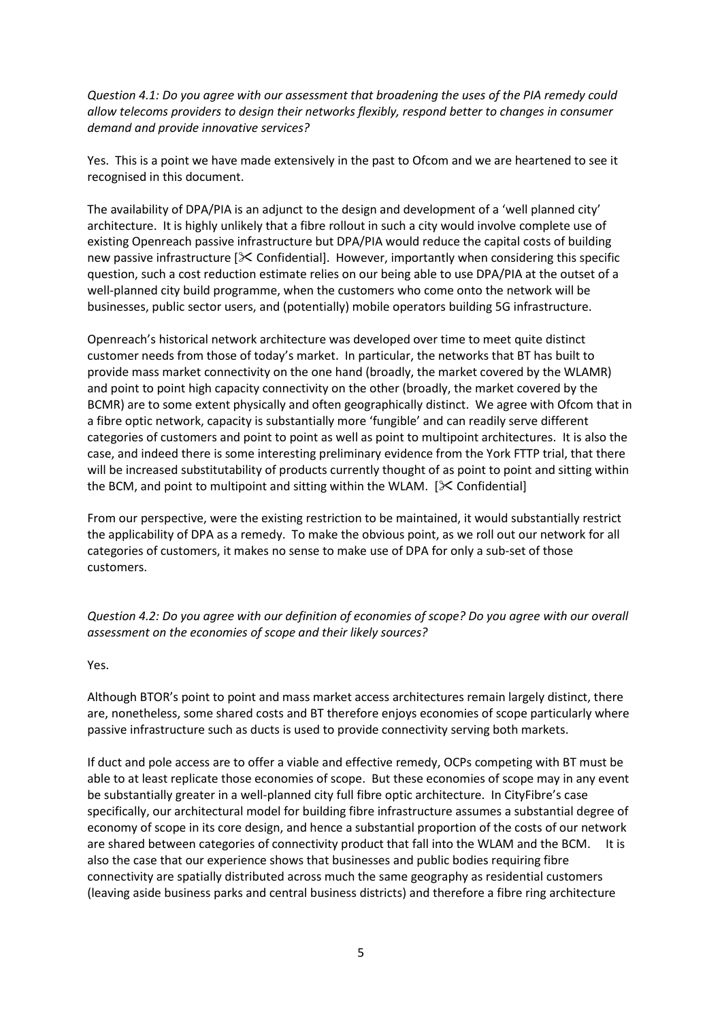*Question 4.1: Do you agree with our assessment that broadening the uses of the PIA remedy could allow telecoms providers to design their networks flexibly, respond better to changes in consumer demand and provide innovative services?*

Yes. This is a point we have made extensively in the past to Ofcom and we are heartened to see it recognised in this document.

The availability of DPA/PIA is an adjunct to the design and development of a 'well planned city' architecture. It is highly unlikely that a fibre rollout in such a city would involve complete use of existing Openreach passive infrastructure but DPA/PIA would reduce the capital costs of building new passive infrastructure  $[\&$  Confidential]. However, importantly when considering this specific question, such a cost reduction estimate relies on our being able to use DPA/PIA at the outset of a well-planned city build programme, when the customers who come onto the network will be businesses, public sector users, and (potentially) mobile operators building 5G infrastructure.

Openreach's historical network architecture was developed over time to meet quite distinct customer needs from those of today's market. In particular, the networks that BT has built to provide mass market connectivity on the one hand (broadly, the market covered by the WLAMR) and point to point high capacity connectivity on the other (broadly, the market covered by the BCMR) are to some extent physically and often geographically distinct. We agree with Ofcom that in a fibre optic network, capacity is substantially more 'fungible' and can readily serve different categories of customers and point to point as well as point to multipoint architectures. It is also the case, and indeed there is some interesting preliminary evidence from the York FTTP trial, that there will be increased substitutability of products currently thought of as point to point and sitting within the BCM, and point to multipoint and sitting within the WLAM.  $[\&$  Confidential]

From our perspective, were the existing restriction to be maintained, it would substantially restrict the applicability of DPA as a remedy. To make the obvious point, as we roll out our network for all categories of customers, it makes no sense to make use of DPA for only a sub-set of those customers.

*Question 4.2: Do you agree with our definition of economies of scope? Do you agree with our overall assessment on the economies of scope and their likely sources?*

Yes.

Although BTOR's point to point and mass market access architectures remain largely distinct, there are, nonetheless, some shared costs and BT therefore enjoys economies of scope particularly where passive infrastructure such as ducts is used to provide connectivity serving both markets.

If duct and pole access are to offer a viable and effective remedy, OCPs competing with BT must be able to at least replicate those economies of scope. But these economies of scope may in any event be substantially greater in a well-planned city full fibre optic architecture. In CityFibre's case specifically, our architectural model for building fibre infrastructure assumes a substantial degree of economy of scope in its core design, and hence a substantial proportion of the costs of our network are shared between categories of connectivity product that fall into the WLAM and the BCM. It is also the case that our experience shows that businesses and public bodies requiring fibre connectivity are spatially distributed across much the same geography as residential customers (leaving aside business parks and central business districts) and therefore a fibre ring architecture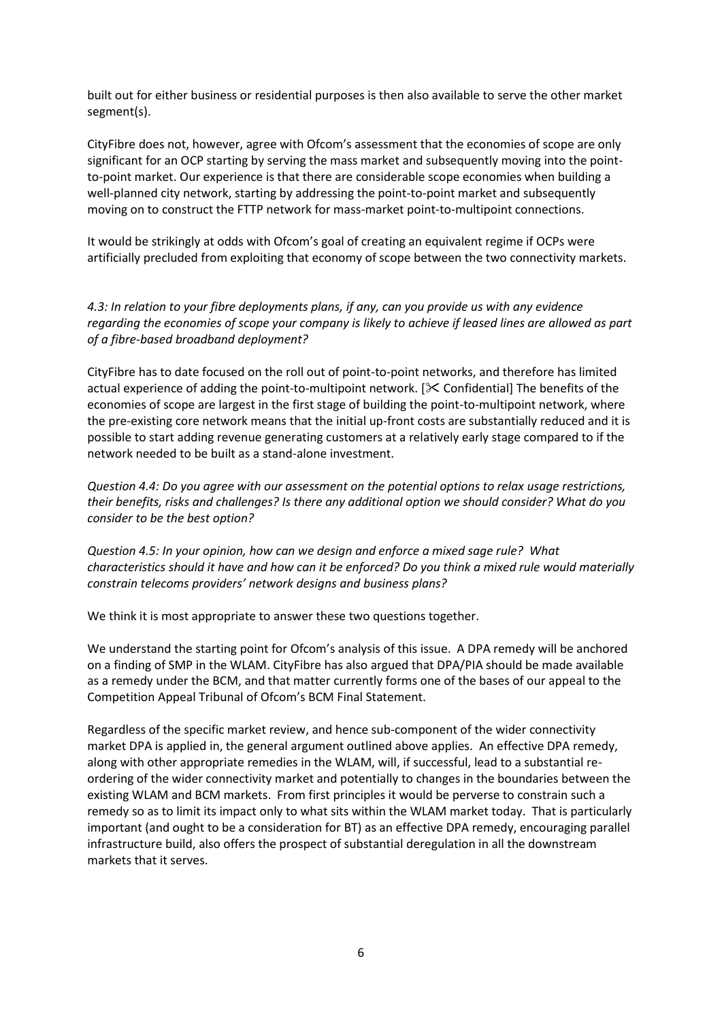built out for either business or residential purposes is then also available to serve the other market segment(s).

CityFibre does not, however, agree with Ofcom's assessment that the economies of scope are only significant for an OCP starting by serving the mass market and subsequently moving into the pointto-point market. Our experience is that there are considerable scope economies when building a well-planned city network, starting by addressing the point-to-point market and subsequently moving on to construct the FTTP network for mass-market point-to-multipoint connections.

It would be strikingly at odds with Ofcom's goal of creating an equivalent regime if OCPs were artificially precluded from exploiting that economy of scope between the two connectivity markets.

*4.3: In relation to your fibre deployments plans, if any, can you provide us with any evidence regarding the economies of scope your company is likely to achieve if leased lines are allowed as part of a fibre-based broadband deployment?*

CityFibre has to date focused on the roll out of point-to-point networks, and therefore has limited actual experience of adding the point-to-multipoint network.  $[\times$  Confidential] The benefits of the economies of scope are largest in the first stage of building the point-to-multipoint network, where the pre-existing core network means that the initial up-front costs are substantially reduced and it is possible to start adding revenue generating customers at a relatively early stage compared to if the network needed to be built as a stand-alone investment.

*Question 4.4: Do you agree with our assessment on the potential options to relax usage restrictions, their benefits, risks and challenges? Is there any additional option we should consider? What do you consider to be the best option?*

*Question 4.5: In your opinion, how can we design and enforce a mixed sage rule? What characteristics should it have and how can it be enforced? Do you think a mixed rule would materially constrain telecoms providers' network designs and business plans?*

We think it is most appropriate to answer these two questions together.

We understand the starting point for Ofcom's analysis of this issue. A DPA remedy will be anchored on a finding of SMP in the WLAM. CityFibre has also argued that DPA/PIA should be made available as a remedy under the BCM, and that matter currently forms one of the bases of our appeal to the Competition Appeal Tribunal of Ofcom's BCM Final Statement.

Regardless of the specific market review, and hence sub-component of the wider connectivity market DPA is applied in, the general argument outlined above applies. An effective DPA remedy, along with other appropriate remedies in the WLAM, will, if successful, lead to a substantial reordering of the wider connectivity market and potentially to changes in the boundaries between the existing WLAM and BCM markets. From first principles it would be perverse to constrain such a remedy so as to limit its impact only to what sits within the WLAM market today. That is particularly important (and ought to be a consideration for BT) as an effective DPA remedy, encouraging parallel infrastructure build, also offers the prospect of substantial deregulation in all the downstream markets that it serves.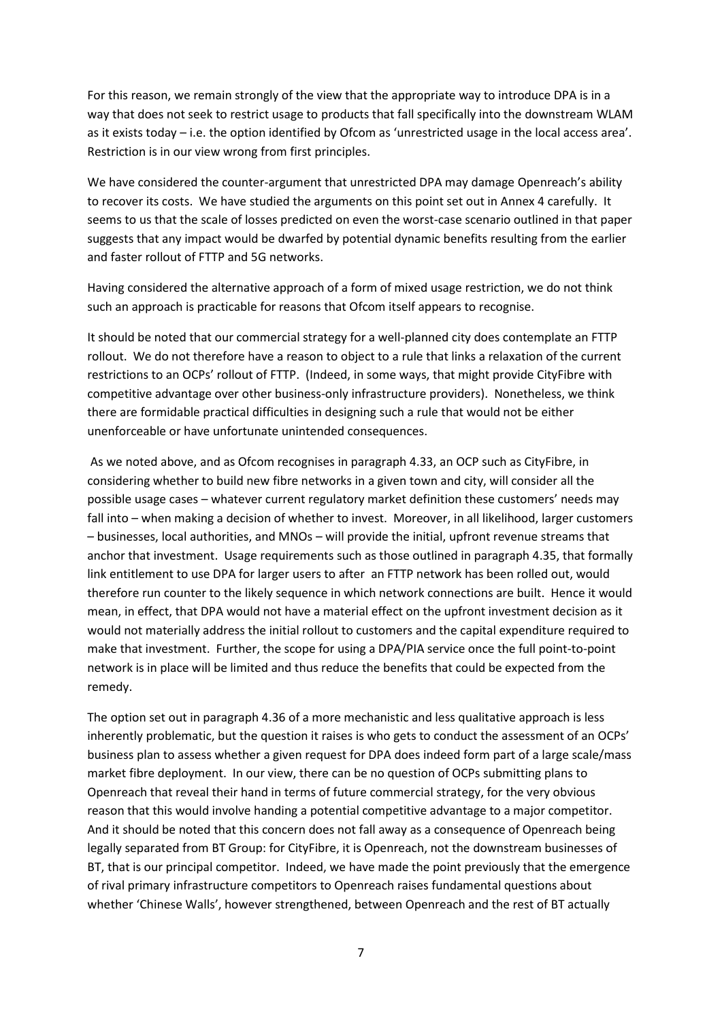For this reason, we remain strongly of the view that the appropriate way to introduce DPA is in a way that does not seek to restrict usage to products that fall specifically into the downstream WLAM as it exists today – i.e. the option identified by Ofcom as 'unrestricted usage in the local access area'. Restriction is in our view wrong from first principles.

We have considered the counter-argument that unrestricted DPA may damage Openreach's ability to recover its costs. We have studied the arguments on this point set out in Annex 4 carefully. It seems to us that the scale of losses predicted on even the worst-case scenario outlined in that paper suggests that any impact would be dwarfed by potential dynamic benefits resulting from the earlier and faster rollout of FTTP and 5G networks.

Having considered the alternative approach of a form of mixed usage restriction, we do not think such an approach is practicable for reasons that Ofcom itself appears to recognise.

It should be noted that our commercial strategy for a well-planned city does contemplate an FTTP rollout. We do not therefore have a reason to object to a rule that links a relaxation of the current restrictions to an OCPs' rollout of FTTP. (Indeed, in some ways, that might provide CityFibre with competitive advantage over other business-only infrastructure providers). Nonetheless, we think there are formidable practical difficulties in designing such a rule that would not be either unenforceable or have unfortunate unintended consequences.

As we noted above, and as Ofcom recognises in paragraph 4.33, an OCP such as CityFibre, in considering whether to build new fibre networks in a given town and city, will consider all the possible usage cases – whatever current regulatory market definition these customers' needs may fall into – when making a decision of whether to invest. Moreover, in all likelihood, larger customers – businesses, local authorities, and MNOs – will provide the initial, upfront revenue streams that anchor that investment. Usage requirements such as those outlined in paragraph 4.35, that formally link entitlement to use DPA for larger users to after an FTTP network has been rolled out, would therefore run counter to the likely sequence in which network connections are built. Hence it would mean, in effect, that DPA would not have a material effect on the upfront investment decision as it would not materially address the initial rollout to customers and the capital expenditure required to make that investment. Further, the scope for using a DPA/PIA service once the full point-to-point network is in place will be limited and thus reduce the benefits that could be expected from the remedy.

The option set out in paragraph 4.36 of a more mechanistic and less qualitative approach is less inherently problematic, but the question it raises is who gets to conduct the assessment of an OCPs' business plan to assess whether a given request for DPA does indeed form part of a large scale/mass market fibre deployment. In our view, there can be no question of OCPs submitting plans to Openreach that reveal their hand in terms of future commercial strategy, for the very obvious reason that this would involve handing a potential competitive advantage to a major competitor. And it should be noted that this concern does not fall away as a consequence of Openreach being legally separated from BT Group: for CityFibre, it is Openreach, not the downstream businesses of BT, that is our principal competitor. Indeed, we have made the point previously that the emergence of rival primary infrastructure competitors to Openreach raises fundamental questions about whether 'Chinese Walls', however strengthened, between Openreach and the rest of BT actually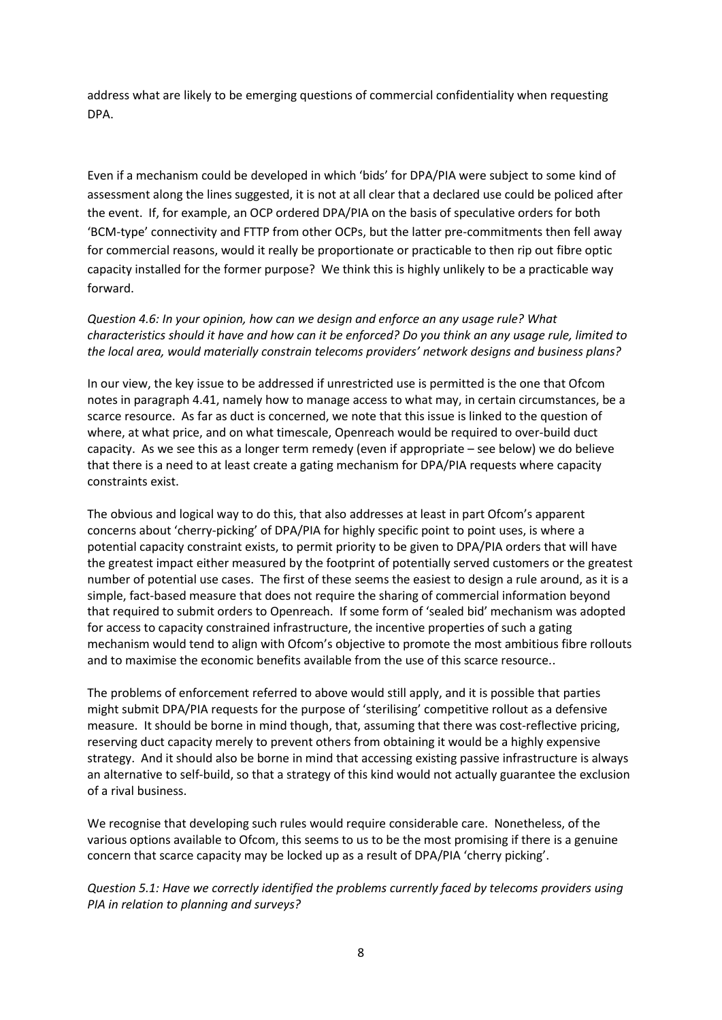address what are likely to be emerging questions of commercial confidentiality when requesting DPA.

Even if a mechanism could be developed in which 'bids' for DPA/PIA were subject to some kind of assessment along the lines suggested, it is not at all clear that a declared use could be policed after the event. If, for example, an OCP ordered DPA/PIA on the basis of speculative orders for both 'BCM-type' connectivity and FTTP from other OCPs, but the latter pre-commitments then fell away for commercial reasons, would it really be proportionate or practicable to then rip out fibre optic capacity installed for the former purpose? We think this is highly unlikely to be a practicable way forward.

#### *Question 4.6: In your opinion, how can we design and enforce an any usage rule? What characteristics should it have and how can it be enforced? Do you think an any usage rule, limited to the local area, would materially constrain telecoms providers' network designs and business plans?*

In our view, the key issue to be addressed if unrestricted use is permitted is the one that Ofcom notes in paragraph 4.41, namely how to manage access to what may, in certain circumstances, be a scarce resource. As far as duct is concerned, we note that this issue is linked to the question of where, at what price, and on what timescale, Openreach would be required to over-build duct capacity. As we see this as a longer term remedy (even if appropriate – see below) we do believe that there is a need to at least create a gating mechanism for DPA/PIA requests where capacity constraints exist.

The obvious and logical way to do this, that also addresses at least in part Ofcom's apparent concerns about 'cherry-picking' of DPA/PIA for highly specific point to point uses, is where a potential capacity constraint exists, to permit priority to be given to DPA/PIA orders that will have the greatest impact either measured by the footprint of potentially served customers or the greatest number of potential use cases. The first of these seems the easiest to design a rule around, as it is a simple, fact-based measure that does not require the sharing of commercial information beyond that required to submit orders to Openreach. If some form of 'sealed bid' mechanism was adopted for access to capacity constrained infrastructure, the incentive properties of such a gating mechanism would tend to align with Ofcom's objective to promote the most ambitious fibre rollouts and to maximise the economic benefits available from the use of this scarce resource..

The problems of enforcement referred to above would still apply, and it is possible that parties might submit DPA/PIA requests for the purpose of 'sterilising' competitive rollout as a defensive measure. It should be borne in mind though, that, assuming that there was cost-reflective pricing, reserving duct capacity merely to prevent others from obtaining it would be a highly expensive strategy. And it should also be borne in mind that accessing existing passive infrastructure is always an alternative to self-build, so that a strategy of this kind would not actually guarantee the exclusion of a rival business.

We recognise that developing such rules would require considerable care. Nonetheless, of the various options available to Ofcom, this seems to us to be the most promising if there is a genuine concern that scarce capacity may be locked up as a result of DPA/PIA 'cherry picking'.

*Question 5.1: Have we correctly identified the problems currently faced by telecoms providers using PIA in relation to planning and surveys?*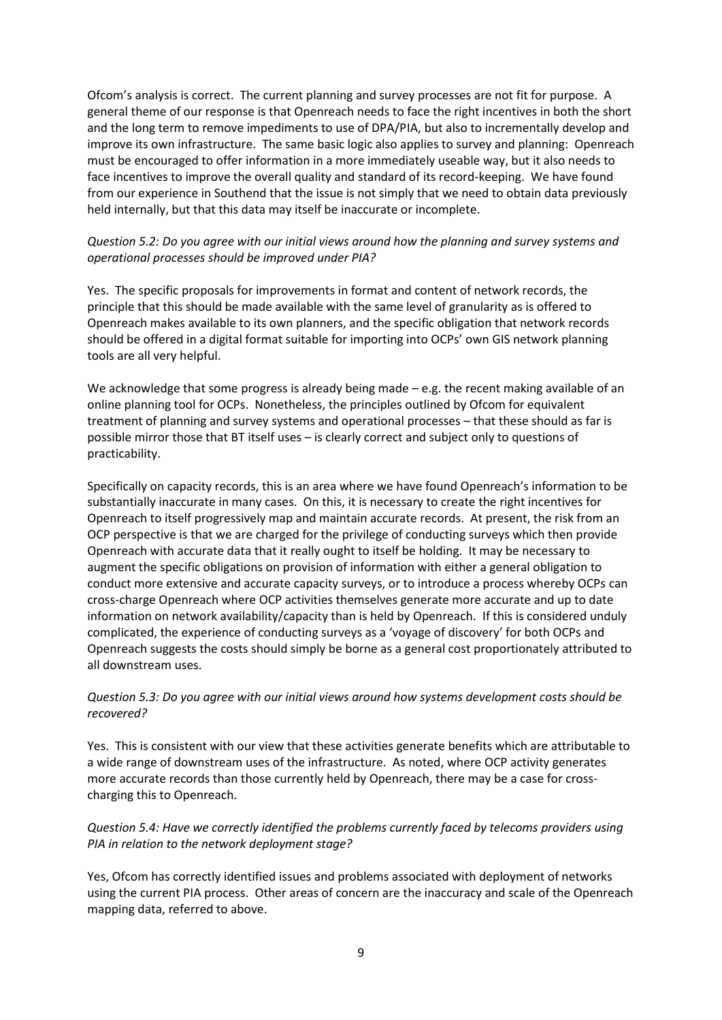Ofcom's analysis is correct. The current planning and survey processes are not fit for purpose. A general theme of our response is that Openreach needs to face the right incentives in both the short and the long term to remove impediments to use of DPA/PIA, but also to incrementally develop and improve its own infrastructure. The same basic logic also applies to survey and planning: Openreach must be encouraged to offer information in a more immediately useable way, but it also needs to face incentives to improve the overall quality and standard of its record-keeping. We have found from our experience in Southend that the issue is not simply that we need to obtain data previously held internally, but that this data may itself be inaccurate or incomplete.

# *Question 5.2: Do you agree with our initial views around how the planning and survey systems and operational processes should be improved under PIA?*

Yes. The specific proposals for improvements in format and content of network records, the principle that this should be made available with the same level of granularity as is offered to Openreach makes available to its own planners, and the specific obligation that network records should be offered in a digital format suitable for importing into OCPs' own GIS network planning tools are all very helpful.

We acknowledge that some progress is already being made  $-e.g.$  the recent making available of an online planning tool for OCPs. Nonetheless, the principles outlined by Ofcom for equivalent treatment of planning and survey systems and operational processes – that these should as far is possible mirror those that BT itself uses – is clearly correct and subject only to questions of practicability.

Specifically on capacity records, this is an area where we have found Openreach's information to be substantially inaccurate in many cases. On this, it is necessary to create the right incentives for Openreach to itself progressively map and maintain accurate records. At present, the risk from an OCP perspective is that we are charged for the privilege of conducting surveys which then provide Openreach with accurate data that it really ought to itself be holding. It may be necessary to augment the specific obligations on provision of information with either a general obligation to conduct more extensive and accurate capacity surveys, or to introduce a process whereby OCPs can cross-charge Openreach where OCP activities themselves generate more accurate and up to date information on network availability/capacity than is held by Openreach. If this is considered unduly complicated, the experience of conducting surveys as a 'voyage of discovery' for both OCPs and Openreach suggests the costs should simply be borne as a general cost proportionately attributed to all downstream uses.

# *Question 5.3: Do you agree with our initial views around how systems development costs should be recovered?*

Yes. This is consistent with our view that these activities generate benefits which are attributable to a wide range of downstream uses of the infrastructure. As noted, where OCP activity generates more accurate records than those currently held by Openreach, there may be a case for crosscharging this to Openreach.

# *Question 5.4: Have we correctly identified the problems currently faced by telecoms providers using PIA in relation to the network deployment stage?*

Yes, Ofcom has correctly identified issues and problems associated with deployment of networks using the current PIA process. Other areas of concern are the inaccuracy and scale of the Openreach mapping data, referred to above.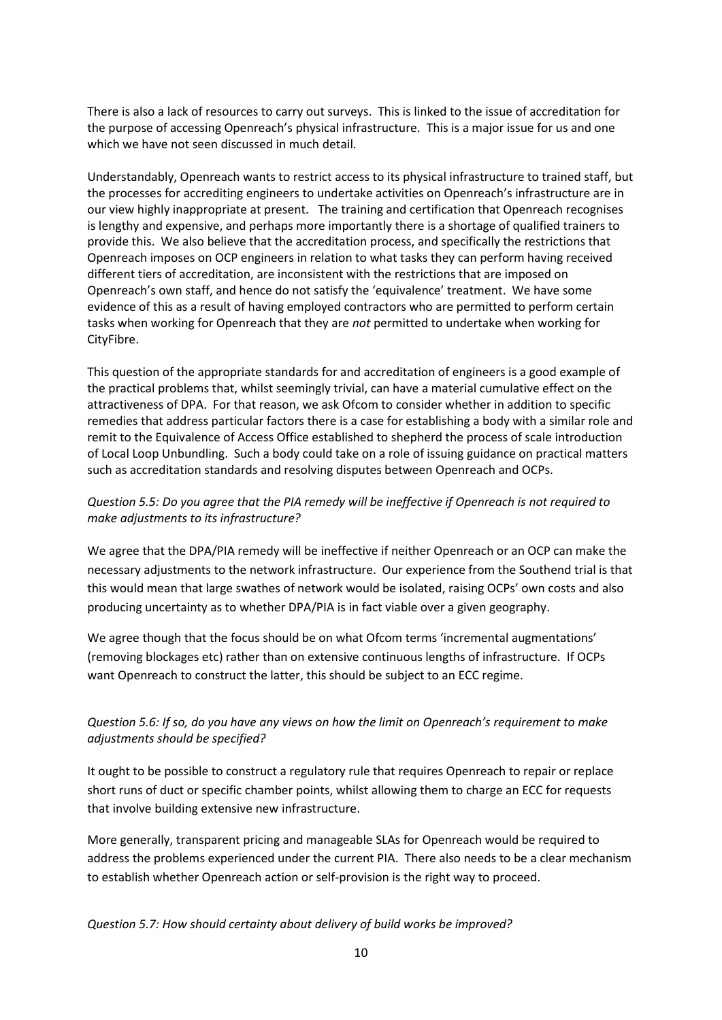There is also a lack of resources to carry out surveys. This is linked to the issue of accreditation for the purpose of accessing Openreach's physical infrastructure. This is a major issue for us and one which we have not seen discussed in much detail.

Understandably, Openreach wants to restrict access to its physical infrastructure to trained staff, but the processes for accrediting engineers to undertake activities on Openreach's infrastructure are in our view highly inappropriate at present. The training and certification that Openreach recognises is lengthy and expensive, and perhaps more importantly there is a shortage of qualified trainers to provide this. We also believe that the accreditation process, and specifically the restrictions that Openreach imposes on OCP engineers in relation to what tasks they can perform having received different tiers of accreditation, are inconsistent with the restrictions that are imposed on Openreach's own staff, and hence do not satisfy the 'equivalence' treatment. We have some evidence of this as a result of having employed contractors who are permitted to perform certain tasks when working for Openreach that they are *not* permitted to undertake when working for CityFibre.

This question of the appropriate standards for and accreditation of engineers is a good example of the practical problems that, whilst seemingly trivial, can have a material cumulative effect on the attractiveness of DPA. For that reason, we ask Ofcom to consider whether in addition to specific remedies that address particular factors there is a case for establishing a body with a similar role and remit to the Equivalence of Access Office established to shepherd the process of scale introduction of Local Loop Unbundling. Such a body could take on a role of issuing guidance on practical matters such as accreditation standards and resolving disputes between Openreach and OCPs.

# *Question 5.5: Do you agree that the PIA remedy will be ineffective if Openreach is not required to make adjustments to its infrastructure?*

We agree that the DPA/PIA remedy will be ineffective if neither Openreach or an OCP can make the necessary adjustments to the network infrastructure. Our experience from the Southend trial is that this would mean that large swathes of network would be isolated, raising OCPs' own costs and also producing uncertainty as to whether DPA/PIA is in fact viable over a given geography.

We agree though that the focus should be on what Ofcom terms 'incremental augmentations' (removing blockages etc) rather than on extensive continuous lengths of infrastructure. If OCPs want Openreach to construct the latter, this should be subject to an ECC regime.

# *Question 5.6: If so, do you have any views on how the limit on Openreach's requirement to make adjustments should be specified?*

It ought to be possible to construct a regulatory rule that requires Openreach to repair or replace short runs of duct or specific chamber points, whilst allowing them to charge an ECC for requests that involve building extensive new infrastructure.

More generally, transparent pricing and manageable SLAs for Openreach would be required to address the problems experienced under the current PIA. There also needs to be a clear mechanism to establish whether Openreach action or self-provision is the right way to proceed.

# *Question 5.7: How should certainty about delivery of build works be improved?*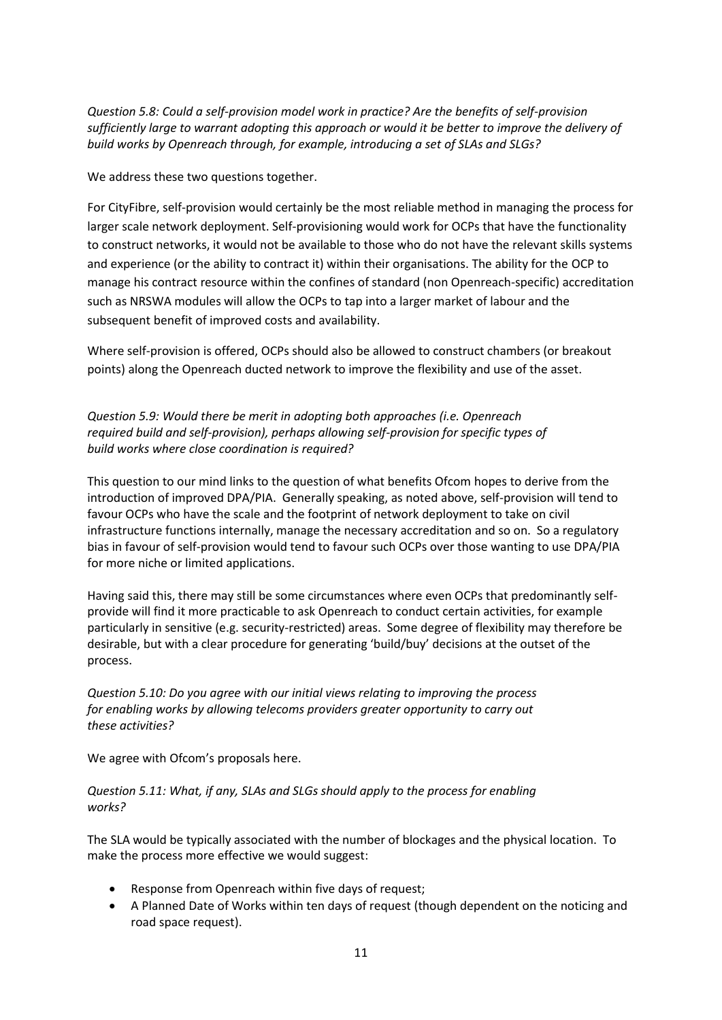*Question 5.8: Could a self-provision model work in practice? Are the benefits of self-provision sufficiently large to warrant adopting this approach or would it be better to improve the delivery of build works by Openreach through, for example, introducing a set of SLAs and SLGs?*

We address these two questions together.

For CityFibre, self-provision would certainly be the most reliable method in managing the process for larger scale network deployment. Self-provisioning would work for OCPs that have the functionality to construct networks, it would not be available to those who do not have the relevant skills systems and experience (or the ability to contract it) within their organisations. The ability for the OCP to manage his contract resource within the confines of standard (non Openreach-specific) accreditation such as NRSWA modules will allow the OCPs to tap into a larger market of labour and the subsequent benefit of improved costs and availability.

Where self-provision is offered, OCPs should also be allowed to construct chambers (or breakout points) along the Openreach ducted network to improve the flexibility and use of the asset.

*Question 5.9: Would there be merit in adopting both approaches (i.e. Openreach required build and self-provision), perhaps allowing self-provision for specific types of build works where close coordination is required?*

This question to our mind links to the question of what benefits Ofcom hopes to derive from the introduction of improved DPA/PIA. Generally speaking, as noted above, self-provision will tend to favour OCPs who have the scale and the footprint of network deployment to take on civil infrastructure functions internally, manage the necessary accreditation and so on. So a regulatory bias in favour of self-provision would tend to favour such OCPs over those wanting to use DPA/PIA for more niche or limited applications.

Having said this, there may still be some circumstances where even OCPs that predominantly selfprovide will find it more practicable to ask Openreach to conduct certain activities, for example particularly in sensitive (e.g. security-restricted) areas. Some degree of flexibility may therefore be desirable, but with a clear procedure for generating 'build/buy' decisions at the outset of the process.

*Question 5.10: Do you agree with our initial views relating to improving the process for enabling works by allowing telecoms providers greater opportunity to carry out these activities?*

We agree with Ofcom's proposals here.

*Question 5.11: What, if any, SLAs and SLGs should apply to the process for enabling works?*

The SLA would be typically associated with the number of blockages and the physical location. To make the process more effective we would suggest:

- Response from Openreach within five days of request;
- A Planned Date of Works within ten days of request (though dependent on the noticing and road space request).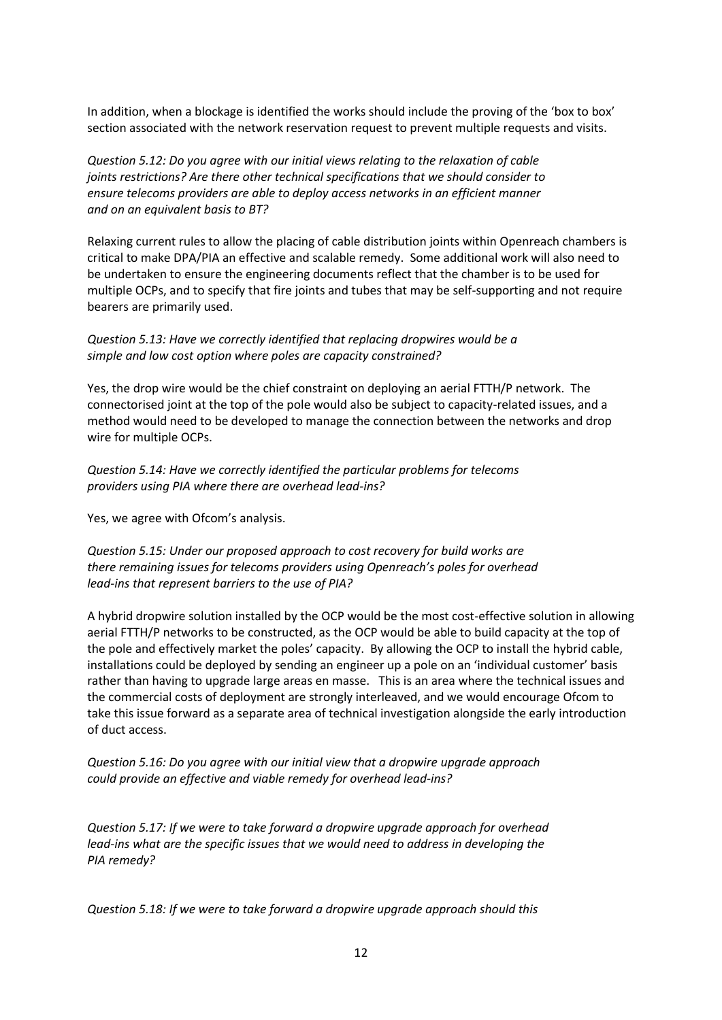In addition, when a blockage is identified the works should include the proving of the 'box to box' section associated with the network reservation request to prevent multiple requests and visits.

*Question 5.12: Do you agree with our initial views relating to the relaxation of cable joints restrictions? Are there other technical specifications that we should consider to ensure telecoms providers are able to deploy access networks in an efficient manner and on an equivalent basis to BT?*

Relaxing current rules to allow the placing of cable distribution joints within Openreach chambers is critical to make DPA/PIA an effective and scalable remedy. Some additional work will also need to be undertaken to ensure the engineering documents reflect that the chamber is to be used for multiple OCPs, and to specify that fire joints and tubes that may be self-supporting and not require bearers are primarily used.

#### *Question 5.13: Have we correctly identified that replacing dropwires would be a simple and low cost option where poles are capacity constrained?*

Yes, the drop wire would be the chief constraint on deploying an aerial FTTH/P network. The connectorised joint at the top of the pole would also be subject to capacity-related issues, and a method would need to be developed to manage the connection between the networks and drop wire for multiple OCPs.

*Question 5.14: Have we correctly identified the particular problems for telecoms providers using PIA where there are overhead lead-ins?*

Yes, we agree with Ofcom's analysis.

# *Question 5.15: Under our proposed approach to cost recovery for build works are there remaining issues for telecoms providers using Openreach's poles for overhead lead-ins that represent barriers to the use of PIA?*

A hybrid dropwire solution installed by the OCP would be the most cost-effective solution in allowing aerial FTTH/P networks to be constructed, as the OCP would be able to build capacity at the top of the pole and effectively market the poles' capacity. By allowing the OCP to install the hybrid cable, installations could be deployed by sending an engineer up a pole on an 'individual customer' basis rather than having to upgrade large areas en masse. This is an area where the technical issues and the commercial costs of deployment are strongly interleaved, and we would encourage Ofcom to take this issue forward as a separate area of technical investigation alongside the early introduction of duct access.

*Question 5.16: Do you agree with our initial view that a dropwire upgrade approach could provide an effective and viable remedy for overhead lead-ins?*

*Question 5.17: If we were to take forward a dropwire upgrade approach for overhead lead-ins what are the specific issues that we would need to address in developing the PIA remedy?*

*Question 5.18: If we were to take forward a dropwire upgrade approach should this*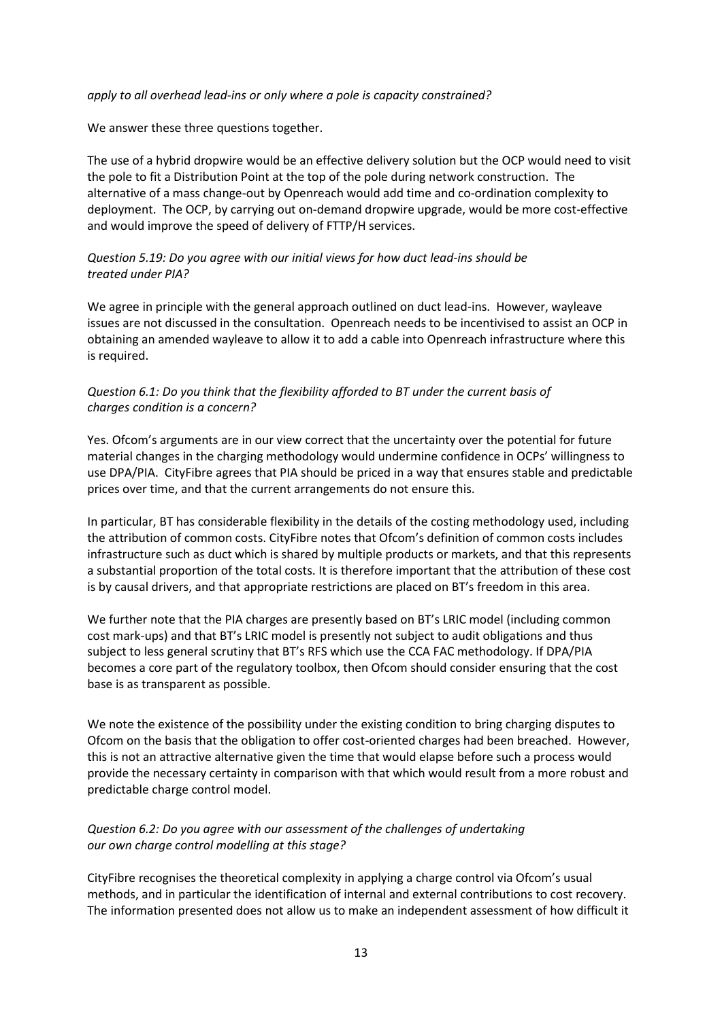#### *apply to all overhead lead-ins or only where a pole is capacity constrained?*

We answer these three questions together.

The use of a hybrid dropwire would be an effective delivery solution but the OCP would need to visit the pole to fit a Distribution Point at the top of the pole during network construction. The alternative of a mass change-out by Openreach would add time and co-ordination complexity to deployment. The OCP, by carrying out on-demand dropwire upgrade, would be more cost-effective and would improve the speed of delivery of FTTP/H services.

#### *Question 5.19: Do you agree with our initial views for how duct lead-ins should be treated under PIA?*

We agree in principle with the general approach outlined on duct lead-ins. However, wayleave issues are not discussed in the consultation. Openreach needs to be incentivised to assist an OCP in obtaining an amended wayleave to allow it to add a cable into Openreach infrastructure where this is required.

#### *Question 6.1: Do you think that the flexibility afforded to BT under the current basis of charges condition is a concern?*

Yes. Ofcom's arguments are in our view correct that the uncertainty over the potential for future material changes in the charging methodology would undermine confidence in OCPs' willingness to use DPA/PIA. CityFibre agrees that PIA should be priced in a way that ensures stable and predictable prices over time, and that the current arrangements do not ensure this.

In particular, BT has considerable flexibility in the details of the costing methodology used, including the attribution of common costs. CityFibre notes that Ofcom's definition of common costs includes infrastructure such as duct which is shared by multiple products or markets, and that this represents a substantial proportion of the total costs. It is therefore important that the attribution of these cost is by causal drivers, and that appropriate restrictions are placed on BT's freedom in this area.

We further note that the PIA charges are presently based on BT's LRIC model (including common cost mark-ups) and that BT's LRIC model is presently not subject to audit obligations and thus subject to less general scrutiny that BT's RFS which use the CCA FAC methodology. If DPA/PIA becomes a core part of the regulatory toolbox, then Ofcom should consider ensuring that the cost base is as transparent as possible.

We note the existence of the possibility under the existing condition to bring charging disputes to Ofcom on the basis that the obligation to offer cost-oriented charges had been breached. However, this is not an attractive alternative given the time that would elapse before such a process would provide the necessary certainty in comparison with that which would result from a more robust and predictable charge control model.

# *Question 6.2: Do you agree with our assessment of the challenges of undertaking our own charge control modelling at this stage?*

CityFibre recognises the theoretical complexity in applying a charge control via Ofcom's usual methods, and in particular the identification of internal and external contributions to cost recovery. The information presented does not allow us to make an independent assessment of how difficult it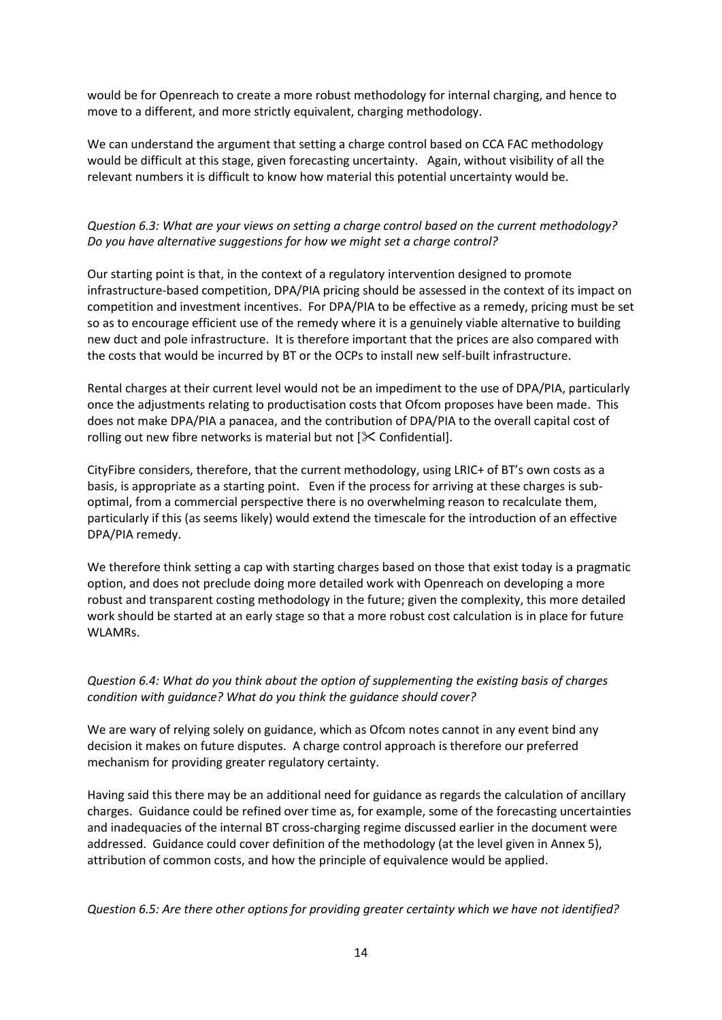would be for Openreach to create a more robust methodology for internal charging, and hence to move to a different, and more strictly equivalent, charging methodology.

We can understand the argument that setting a charge control based on CCA FAC methodology would be difficult at this stage, given forecasting uncertainty. Again, without visibility of all the relevant numbers it is difficult to know how material this potential uncertainty would be.

# *Question 6.3: What are your views on setting a charge control based on the current methodology? Do you have alternative suggestions for how we might set a charge control?*

Our starting point is that, in the context of a regulatory intervention designed to promote infrastructure-based competition, DPA/PIA pricing should be assessed in the context of its impact on competition and investment incentives. For DPA/PIA to be effective as a remedy, pricing must be set so as to encourage efficient use of the remedy where it is a genuinely viable alternative to building new duct and pole infrastructure. It is therefore important that the prices are also compared with the costs that would be incurred by BT or the OCPs to install new self-built infrastructure.

Rental charges at their current level would not be an impediment to the use of DPA/PIA, particularly once the adjustments relating to productisation costs that Ofcom proposes have been made. This does not make DPA/PIA a panacea, and the contribution of DPA/PIA to the overall capital cost of rolling out new fibre networks is material but not  $[\times$  Confidential].

CityFibre considers, therefore, that the current methodology, using LRIC+ of BT's own costs as a basis, is appropriate as a starting point. Even if the process for arriving at these charges is suboptimal, from a commercial perspective there is no overwhelming reason to recalculate them, particularly if this (as seems likely) would extend the timescale for the introduction of an effective DPA/PIA remedy.

We therefore think setting a cap with starting charges based on those that exist today is a pragmatic option, and does not preclude doing more detailed work with Openreach on developing a more robust and transparent costing methodology in the future; given the complexity, this more detailed work should be started at an early stage so that a more robust cost calculation is in place for future WLAMRs.

*Question 6.4: What do you think about the option of supplementing the existing basis of charges condition with guidance? What do you think the guidance should cover?*

We are wary of relying solely on guidance, which as Ofcom notes cannot in any event bind any decision it makes on future disputes. A charge control approach is therefore our preferred mechanism for providing greater regulatory certainty.

Having said this there may be an additional need for guidance as regards the calculation of ancillary charges. Guidance could be refined over time as, for example, some of the forecasting uncertainties and inadequacies of the internal BT cross-charging regime discussed earlier in the document were addressed. Guidance could cover definition of the methodology (at the level given in Annex 5), attribution of common costs, and how the principle of equivalence would be applied.

*Question 6.5: Are there other options for providing greater certainty which we have not identified?*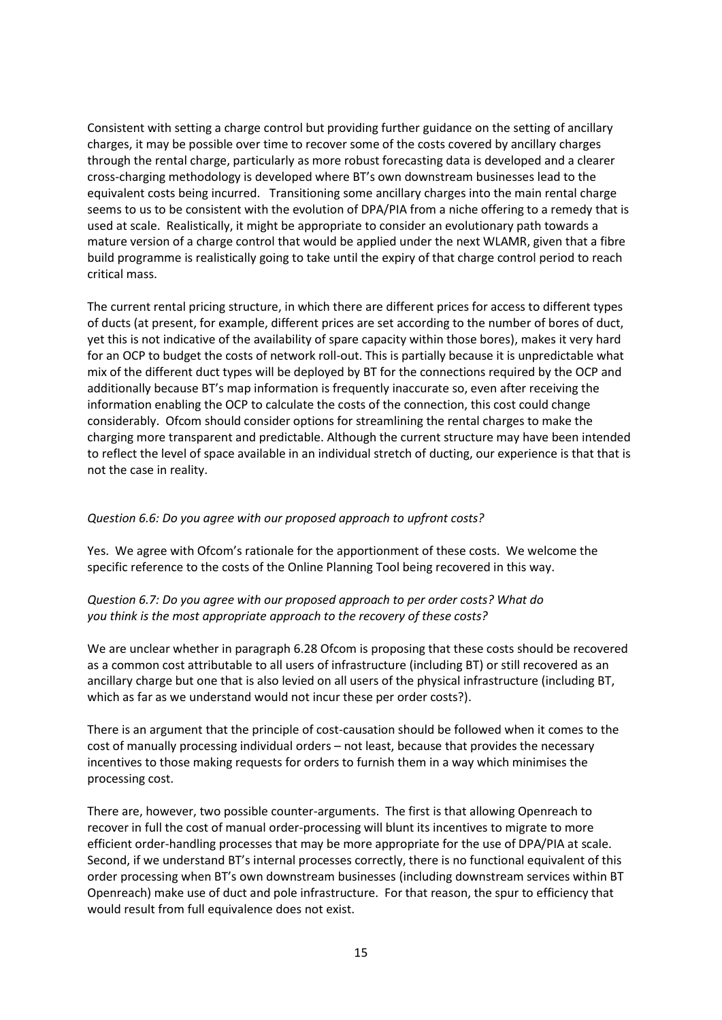Consistent with setting a charge control but providing further guidance on the setting of ancillary charges, it may be possible over time to recover some of the costs covered by ancillary charges through the rental charge, particularly as more robust forecasting data is developed and a clearer cross-charging methodology is developed where BT's own downstream businesses lead to the equivalent costs being incurred. Transitioning some ancillary charges into the main rental charge seems to us to be consistent with the evolution of DPA/PIA from a niche offering to a remedy that is used at scale. Realistically, it might be appropriate to consider an evolutionary path towards a mature version of a charge control that would be applied under the next WLAMR, given that a fibre build programme is realistically going to take until the expiry of that charge control period to reach critical mass.

The current rental pricing structure, in which there are different prices for access to different types of ducts (at present, for example, different prices are set according to the number of bores of duct, yet this is not indicative of the availability of spare capacity within those bores), makes it very hard for an OCP to budget the costs of network roll-out. This is partially because it is unpredictable what mix of the different duct types will be deployed by BT for the connections required by the OCP and additionally because BT's map information is frequently inaccurate so, even after receiving the information enabling the OCP to calculate the costs of the connection, this cost could change considerably. Ofcom should consider options for streamlining the rental charges to make the charging more transparent and predictable. Although the current structure may have been intended to reflect the level of space available in an individual stretch of ducting, our experience is that that is not the case in reality.

# *Question 6.6: Do you agree with our proposed approach to upfront costs?*

Yes. We agree with Ofcom's rationale for the apportionment of these costs. We welcome the specific reference to the costs of the Online Planning Tool being recovered in this way.

#### *Question 6.7: Do you agree with our proposed approach to per order costs? What do you think is the most appropriate approach to the recovery of these costs?*

We are unclear whether in paragraph 6.28 Ofcom is proposing that these costs should be recovered as a common cost attributable to all users of infrastructure (including BT) or still recovered as an ancillary charge but one that is also levied on all users of the physical infrastructure (including BT, which as far as we understand would not incur these per order costs?).

There is an argument that the principle of cost-causation should be followed when it comes to the cost of manually processing individual orders – not least, because that provides the necessary incentives to those making requests for orders to furnish them in a way which minimises the processing cost.

There are, however, two possible counter-arguments. The first is that allowing Openreach to recover in full the cost of manual order-processing will blunt its incentives to migrate to more efficient order-handling processes that may be more appropriate for the use of DPA/PIA at scale. Second, if we understand BT's internal processes correctly, there is no functional equivalent of this order processing when BT's own downstream businesses (including downstream services within BT Openreach) make use of duct and pole infrastructure. For that reason, the spur to efficiency that would result from full equivalence does not exist.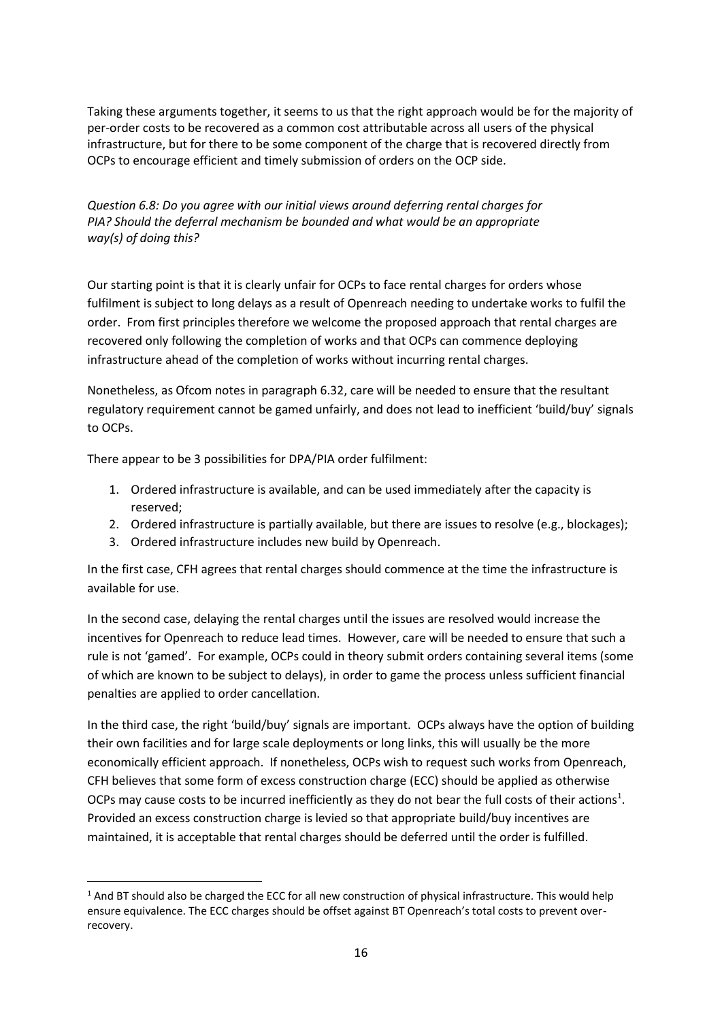Taking these arguments together, it seems to us that the right approach would be for the majority of per-order costs to be recovered as a common cost attributable across all users of the physical infrastructure, but for there to be some component of the charge that is recovered directly from OCPs to encourage efficient and timely submission of orders on the OCP side.

*Question 6.8: Do you agree with our initial views around deferring rental charges for PIA? Should the deferral mechanism be bounded and what would be an appropriate way(s) of doing this?*

Our starting point is that it is clearly unfair for OCPs to face rental charges for orders whose fulfilment is subject to long delays as a result of Openreach needing to undertake works to fulfil the order. From first principles therefore we welcome the proposed approach that rental charges are recovered only following the completion of works and that OCPs can commence deploying infrastructure ahead of the completion of works without incurring rental charges.

Nonetheless, as Ofcom notes in paragraph 6.32, care will be needed to ensure that the resultant regulatory requirement cannot be gamed unfairly, and does not lead to inefficient 'build/buy' signals to OCPs.

There appear to be 3 possibilities for DPA/PIA order fulfilment:

**.** 

- 1. Ordered infrastructure is available, and can be used immediately after the capacity is reserved;
- 2. Ordered infrastructure is partially available, but there are issues to resolve (e.g., blockages);
- 3. Ordered infrastructure includes new build by Openreach.

In the first case, CFH agrees that rental charges should commence at the time the infrastructure is available for use.

In the second case, delaying the rental charges until the issues are resolved would increase the incentives for Openreach to reduce lead times. However, care will be needed to ensure that such a rule is not 'gamed'. For example, OCPs could in theory submit orders containing several items (some of which are known to be subject to delays), in order to game the process unless sufficient financial penalties are applied to order cancellation.

In the third case, the right 'build/buy' signals are important. OCPs always have the option of building their own facilities and for large scale deployments or long links, this will usually be the more economically efficient approach. If nonetheless, OCPs wish to request such works from Openreach, CFH believes that some form of excess construction charge (ECC) should be applied as otherwise OCPs may cause costs to be incurred inefficiently as they do not bear the full costs of their actions<sup>1</sup>. Provided an excess construction charge is levied so that appropriate build/buy incentives are maintained, it is acceptable that rental charges should be deferred until the order is fulfilled.

 $1$  And BT should also be charged the ECC for all new construction of physical infrastructure. This would help ensure equivalence. The ECC charges should be offset against BT Openreach's total costs to prevent overrecovery.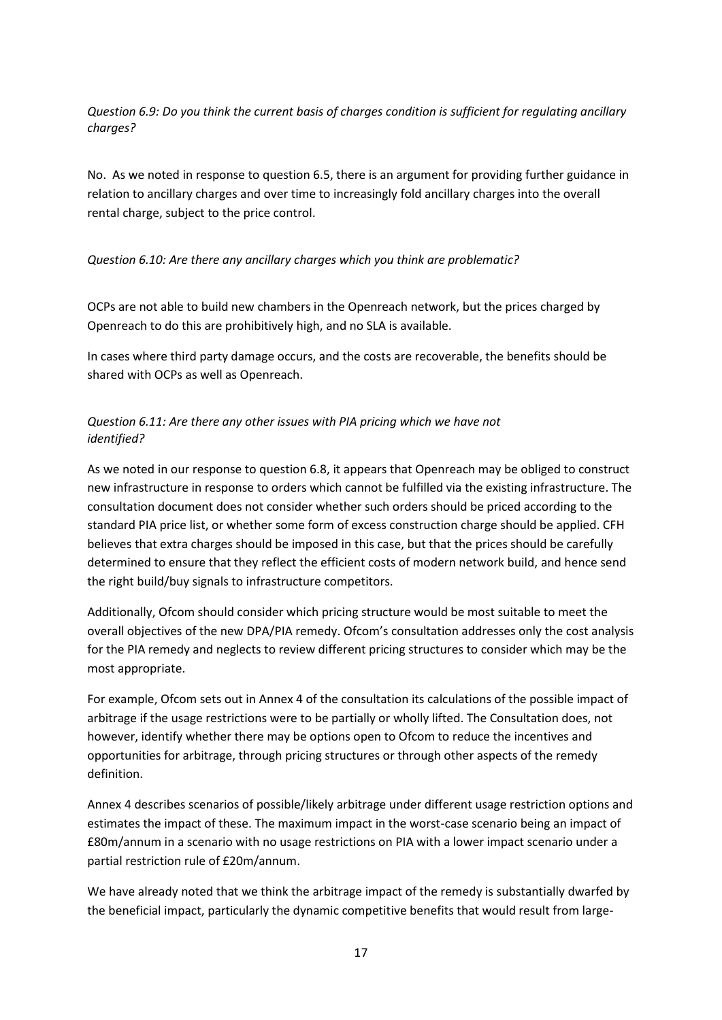*Question 6.9: Do you think the current basis of charges condition is sufficient for regulating ancillary charges?*

No. As we noted in response to question 6.5, there is an argument for providing further guidance in relation to ancillary charges and over time to increasingly fold ancillary charges into the overall rental charge, subject to the price control.

# *Question 6.10: Are there any ancillary charges which you think are problematic?*

OCPs are not able to build new chambers in the Openreach network, but the prices charged by Openreach to do this are prohibitively high, and no SLA is available.

In cases where third party damage occurs, and the costs are recoverable, the benefits should be shared with OCPs as well as Openreach.

# *Question 6.11: Are there any other issues with PIA pricing which we have not identified?*

As we noted in our response to question 6.8, it appears that Openreach may be obliged to construct new infrastructure in response to orders which cannot be fulfilled via the existing infrastructure. The consultation document does not consider whether such orders should be priced according to the standard PIA price list, or whether some form of excess construction charge should be applied. CFH believes that extra charges should be imposed in this case, but that the prices should be carefully determined to ensure that they reflect the efficient costs of modern network build, and hence send the right build/buy signals to infrastructure competitors.

Additionally, Ofcom should consider which pricing structure would be most suitable to meet the overall objectives of the new DPA/PIA remedy. Ofcom's consultation addresses only the cost analysis for the PIA remedy and neglects to review different pricing structures to consider which may be the most appropriate.

For example, Ofcom sets out in Annex 4 of the consultation its calculations of the possible impact of arbitrage if the usage restrictions were to be partially or wholly lifted. The Consultation does, not however, identify whether there may be options open to Ofcom to reduce the incentives and opportunities for arbitrage, through pricing structures or through other aspects of the remedy definition.

Annex 4 describes scenarios of possible/likely arbitrage under different usage restriction options and estimates the impact of these. The maximum impact in the worst-case scenario being an impact of £80m/annum in a scenario with no usage restrictions on PIA with a lower impact scenario under a partial restriction rule of £20m/annum.

We have already noted that we think the arbitrage impact of the remedy is substantially dwarfed by the beneficial impact, particularly the dynamic competitive benefits that would result from large